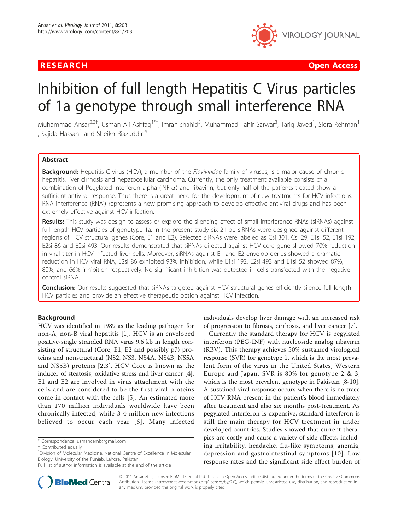

RESEARCH **CONTROL** CONTROL CONTROL CONTROL CONTROL CONTROL CONTROL CONTROL CONTROL CONTROL CONTROL CONTROL CONTROL CONTROL CONTROL CONTROL CONTROL CONTROL CONTROL CONTROL CONTROL CONTROL CONTROL CONTROL CONTROL CONTROL CON

# Inhibition of full length Hepatitis C Virus particles of 1a genotype through small interference RNA

Muhammad Ansar<sup>2,3†</sup>, Usman Ali Ashfaq<sup>1\*†</sup>, Imran shahid<sup>3</sup>, Muhammad Tahir Sarwar<sup>3</sup>, Tariq Javed<sup>1</sup>, Sidra Rehman<sup>1</sup> , Sajida Hassan $3$  and Sheikh Riazuddin<sup>4</sup>

# Abstract

Background: Hepatitis C virus (HCV), a member of the Flaviviridae family of viruses, is a major cause of chronic hepatitis, liver cirrhosis and hepatocellular carcinoma. Currently, the only treatment available consists of a combination of Pegylated interferon alpha (INF- $\alpha$ ) and ribavirin, but only half of the patients treated show a sufficient antiviral response. Thus there is a great need for the development of new treatments for HCV infections. RNA interference (RNAi) represents a new promising approach to develop effective antiviral drugs and has been extremely effective against HCV infection.

Results: This study was design to assess or explore the silencing effect of small interference RNAs (siRNAs) against full length HCV particles of genotype 1a. In the present study six 21-bp siRNAs were designed against different regions of HCV structural genes (Core, E1 and E2). Selected siRNAs were labeled as Csi 301, Csi 29, E1si 52, E1si 192, E2si 86 and E2si 493. Our results demonstrated that siRNAs directed against HCV core gene showed 70% reduction in viral titer in HCV infected liver cells. Moreover, siRNAs against E1 and E2 envelop genes showed a dramatic reduction in HCV viral RNA, E2si 86 exhibited 93% inhibition, while E1si 192, E2si 493 and E1si 52 showed 87%, 80%, and 66% inhibition respectively. No significant inhibition was detected in cells transfected with the negative control siRNA.

**Conclusion:** Our results suggested that siRNAs targeted against HCV structural genes efficiently silence full length HCV particles and provide an effective therapeutic option against HCV infection.

# Background

HCV was identified in 1989 as the leading pathogen for non-A, non-B viral hepatitis [[1\]](#page-4-0). HCV is an enveloped positive-single stranded RNA virus 9.6 kb in length consisting of structural (Core, E1, E2 and possibly p7) proteins and nonstructural (NS2, NS3, NS4A, NS4B, NS5A and NS5B) proteins [[2,3\]](#page-4-0). HCV Core is known as the inducer of steatosis, oxidative stress and liver cancer [\[4](#page-4-0)]. E1 and E2 are involved in virus attachment with the cells and are considered to be the first viral proteins come in contact with the cells [[5\]](#page-4-0). An estimated more than 170 million individuals worldwide have been chronically infected, while 3-4 million new infections believed to occur each year [[6\]](#page-4-0). Many infected



Currently the standard therapy for HCV is pegylated interferon (PEG-INF) with nucleoside analog ribavirin (RBV). This therapy achieves 50% sustained virological response (SVR) for genotype 1, which is the most prevalent form of the virus in the United States, Western Europe and Japan. SVR is 80% for genotype 2 & 3, which is the most prevalent genotype in Pakistan [[8-10](#page-4-0)]. A sustained viral response occurs when there is no trace of HCV RNA present in the patient's blood immediately after treatment and also six months post-treatment. As pegylated interferon is expensive, standard interferon is still the main therapy for HCV treatment in under developed countries. Studies showed that current therapies are costly and cause a variety of side effects, including irritability, headache, flu-like symptoms, anemia, depression and gastrointestinal symptoms [[10\]](#page-4-0). Low response rates and the significant side effect burden of



© 2011 Ansar et al; licensee BioMed Central Ltd. This is an Open Access article distributed under the terms of the Creative Commons Attribution License [\(http://creativecommons.org/licenses/by/2.0](http://creativecommons.org/licenses/by/2.0)), which permits unrestricted use, distribution, and reproduction in any medium, provided the original work is properly cited.

<sup>\*</sup> Correspondence: [usmancemb@gmail.com](mailto:usmancemb@gmail.com)

<sup>†</sup> Contributed equally <sup>1</sup>

<sup>&</sup>lt;sup>1</sup> Division of Molecular Medicine, National Centre of Excellence in Molecular Biology, University of the Punjab, Lahore, Pakistan

Full list of author information is available at the end of the article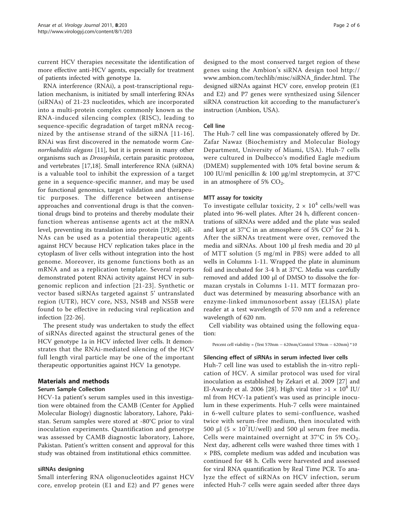current HCV therapies necessitate the identification of more effective anti-HCV agents, especially for treatment of patients infected with genotype 1a.

RNA interference (RNAi), a post-transcriptional regulation mechanism, is initiated by small interfering RNAs (siRNAs) of 21-23 nucleotides, which are incorporated into a multi-protein complex commonly known as the RNA-induced silencing complex (RISC), leading to sequence-specific degradation of target mRNA recognized by the antisense strand of the siRNA [[11](#page-4-0)-[16\]](#page-4-0). RNAi was first discovered in the nematode worm Caenorrhabditis elegans [\[11](#page-4-0)], but it is present in many other organisms such as Drosophila, certain parasitic protozoa, and vertebrates [[17,18\]](#page-4-0). Small interference RNA (siRNA) is a valuable tool to inhibit the expression of a target gene in a sequence-specific manner, and may be used for functional genomics, target validation and therapeutic purposes. The difference between antisense approaches and conventional drugs is that the conventional drugs bind to proteins and thereby modulate their function whereas antisense agents act at the mRNA level, preventing its translation into protein [[19,20\]](#page-4-0). siR-NAs can be used as a potential therapeutic agents against HCV because HCV replication takes place in the cytoplasm of liver cells without integration into the host genome. Moreover, its genome functions both as an mRNA and as a replication template. Several reports demonstrated potent RNAi activity against HCV in subgenomic replicon and infection [[21](#page-4-0)-[23](#page-4-0)]. Synthetic or vector based siRNAs targeted against 5' untranslated region (UTR), HCV core, NS3, NS4B and NS5B were found to be effective in reducing viral replication and infection [[22-](#page-4-0)[26\]](#page-5-0).

The present study was undertaken to study the effect of siRNAs directed against the structural genes of the HCV genotype 1a in HCV infected liver cells. It demonstrates that the RNAi-mediated silencing of the HCV full length viral particle may be one of the important therapeutic opportunities against HCV 1a genotype.

# Materials and methods

#### Serum Sample Collection

HCV-1a patient's serum samples used in this investigation were obtained from the CAMB (Center for Applied Molecular Biology) diagnostic laboratory, Lahore, Pakistan. Serum samples were stored at -80°C prior to viral inoculation experiments. Quantification and genotype was assessed by CAMB diagnostic laboratory, Lahore, Pakistan. Patient's written consent and approval for this study was obtained from institutional ethics committee.

#### siRNAs designing

Small interfering RNA oligonucleotides against HCV core, envelop protein (E1 and E2) and P7 genes were designed to the most conserved target region of these genes using the Ambion's siRNA design tool [http://](http://www.ambion.com/techlib/misc/siRNA_finder.html) [www.ambion.com/techlib/misc/siRNA\\_finder.html.](http://www.ambion.com/techlib/misc/siRNA_finder.html) The designed siRNAs against HCV core, envelop protein (E1 and E2) and P7 genes were synthesized using Silencer siRNA construction kit according to the manufacturer's instruction (Ambion, USA).

# Cell line

The Huh-7 cell line was compassionately offered by Dr. Zafar Nawaz (Biochemistry and Molecular Biology Department, University of Miami, USA). Huh-7 cells were cultured in Dulbecco's modified Eagle medium (DMEM) supplemented with 10% fetal bovine serum & 100 IU/ml penicillin & 100 μg/ml streptomycin, at 37°C in an atmosphere of 5% CO<sub>2</sub>.

#### MTT assay for toxicity

To investigate cellular toxicity,  $2 \times 10^4$  cells/well was plated into 96-well plates. After 24 h, different concentrations of siRNAs were added and the plate was sealed and kept at 37 $\degree$ C in an atmosphere of 5% CO $\degree$  for 24 h. After the siRNAs treatment were over, removed the media and siRNAs. About 100 μl fresh media and 20 μl of MTT solution (5 mg/ml in PBS) were added to all wells in Columns 1-11. Wrapped the plate in aluminum foil and incubated for 3-4 h at 37°C. Media was carefully removed and added 100 μl of DMSO to dissolve the formazan crystals in Columns 1-11. MTT formazan product was determined by measuring absorbance with an enzyme-linked immunosorbent assay (ELISA) plate reader at a test wavelength of 570 nm and a reference wavelength of 620 nm.

Cell viability was obtained using the following equation:

Percent cell viability =  $(Test 570nm - 620nm/Control 570nm - 620nm)*10$ 

#### Silencing effect of siRNAs in serum infected liver cells

Huh-7 cell line was used to establish the in-vitro replication of HCV. A similar protocol was used for viral inoculation as established by Zekari et al. 2009 [[27\]](#page-5-0) and El-Awardy et al. 2006 [\[28](#page-5-0)]. High viral titer  $>1 \times 10^8$  IU/ ml from HCV-1a patient's was used as principle inoculum in these experiments. Huh-7 cells were maintained in 6-well culture plates to semi-confluence, washed twice with serum-free medium, then inoculated with 500 μl (5  $\times$  10<sup>7</sup>IU/well) and 500 μl serum free media. Cells were maintained overnight at  $37^{\circ}$ C in 5% CO<sub>2</sub>. Next day, adherent cells were washed three times with 1 × PBS, complete medium was added and incubation was continued for 48 h. Cells were harvested and assessed for viral RNA quantification by Real Time PCR. To analyze the effect of siRNAs on HCV infection, serum infected Huh-7 cells were again seeded after three days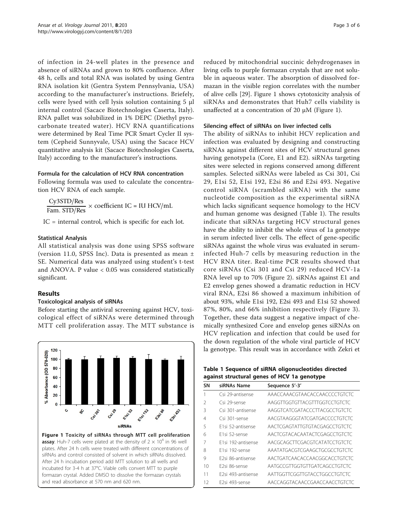of infection in 24-well plates in the presence and absence of siRNAs and grown to 80% confluence. After 48 h, cells and total RNA was isolated by using Gentra RNA isolation kit (Gentra System Pennsylvania, USA) according to the manufacturer's instructions. Briefely, cells were lysed with cell lysis solution containing 5 μl internal control (Sacace Biotechnologies Caserta, Italy). RNA pallet was solubilized in 1% DEPC (Diethyl pyrocarbonate treated water). HCV RNA quantifications were determined by Real Time PCR Smart Cycler II system (Cepheid Sunnyvale, USA) using the Sacace HCV quantitative analysis kit (Sacace Biotechnologies Caserta, Italy) according to the manufacturer's instructions.

#### Formula for the calculation of HCV RNA concentration

Following formula was used to calculate the concentration HCV RNA of each sample.

 $\frac{\text{Cy3STD/Res}}{\text{Fam. STD/Res}} \times \text{coefficient IC} = \text{IU HCV/mL}$ 

IC = internal control, which is specific for each lot.

## Statistical Analysis

All statistical analysis was done using SPSS software (version 11.0, SPSS Inc). Data is presented as mean ± SE. Numerical data was analyzed using student's t-test and ANOVA. P value < 0.05 was considered statistically significant.

# Results

# Toxicological analysis of siRNAs

Before starting the antiviral screening against HCV, toxicological effect of siRNAs were determined through MTT cell proliferation assay. The MTT substance is



**assay**. Huh-7 cells were plated at the density of  $2 \times 10^4$  in 96 well plates. After 24 h cells were treated with different concentrations of siRNAs and control consisted of solvent in which siRNAs dissolved. After 24 h incubation period add MTT solution to all wells and incubated for 3-4 h at 37°C. Viable cells convert MTT to purple formazan crystal. Added DMSO to dissolve the formazan crystals and read absorbance at 570 nm and 620 nm.

reduced by mitochondrial succinic dehydrogenases in living cells to purple formazan crystals that are not soluble in aqueous water. The absorption of dissolved formazan in the visible region correlates with the number of alive cells [[29\]](#page-5-0). Figure 1 shows cytotoxicity analysis of siRNAs and demonstrates that Huh7 cells viability is unaffected at a concentration of 20 μM (Figure 1).

## Silencing effect of siRNAs on liver infected cells

The ability of siRNAs to inhibit HCV replication and infection was evaluated by designing and constructing siRNAs against different sites of HCV structural genes having genotype1a (Core, E1 and E2). siRNAs targeting sites were selected in regions conserved among different samples. Selected siRNAs were labeled as Csi 301, Csi 29, E1si 52, E1si 192, E2si 86 and E2si 493. Negative control siRNA (scrambled siRNA) with the same nucleotide composition as the experimental siRNA which lacks significant sequence homology to the HCV and human genome was designed (Table 1). The results indicate that siRNAs targeting HCV structural genes have the ability to inhibit the whole virus of 1a genotype in serum infected liver cells. The effect of gene-specific siRNAs against the whole virus was evaluated in seruminfected Huh-7 cells by measuring reduction in the HCV RNA titer. Real-time PCR results showed that core siRNAs (Csi 301 and Csi 29) reduced HCV-1a RNA level up to 70% (Figure [2](#page-3-0)). siRNAs against E1 and E2 envelop genes showed a dramatic reduction in HCV viral RNA, E2si 86 showed a maximum inhibition of about 93%, while E1si 192, E2si 493 and E1si 52 showed 87%, 80%, and 66% inhibition respectively (Figure [3\)](#page-3-0). Together, these data suggest a negative impact of chemically synthesized Core and envelop genes siRNAs on HCV replication and infection that could be used for the down regulation of the whole viral particle of HCV la genotype. This result was in accordance with Zekri et

| Table 1 Sequence of siRNA oligonucleotides directed |  |  |
|-----------------------------------------------------|--|--|
| against structural genes of HCV 1a genotype         |  |  |

| <b>SN</b> | siRNAs Name                    | Sequence 5'-3'                |
|-----------|--------------------------------|-------------------------------|
|           | Csi 29-antisense               | AAACCAAACGTAACACCAACCCCTGTCTC |
| 2         | Csi 29-sense                   | AAGGTTGGTGTTACGTTTGGTCCTGTCTC |
| Β         | Csi 301-antisense              | AAGGTCATCGATACCCTTACGCCTGTCTC |
| 4         | Csi 301-sense                  | AACGTAAGGGTATCGATGACCCCTGTCTC |
| 5         | E1si 52-antisense              | AACTCGAGTATTGTGTACGAGCCTGTCTC |
| 6         | F1si 52-sense                  | AACTCGTACACAATACTCGAGCCTGTCTC |
|           | F1si 192-antisense             | AACGCAGCTTCGACGTCATATCCTGTCTC |
| 8         | F1si 192-sense                 | AAATATGACGTCGAAGCTGCGCCTGTCTC |
| 9         | F2si 86-antisense              | AACTGATCAACACCAACGGCACCTGTCTC |
| 10        | F2si 86-sense                  | AATGCCGTTGGTGTTGATCAGCCTGTCTC |
| 11        | F <sub>2si</sub> 493-antisense | AATTGGTTCGGTTGTACCTGGCCTGTCTC |
| 12        | F2si 493-sense                 | AACCAGGTACAACCGAACCAACCTGTCTC |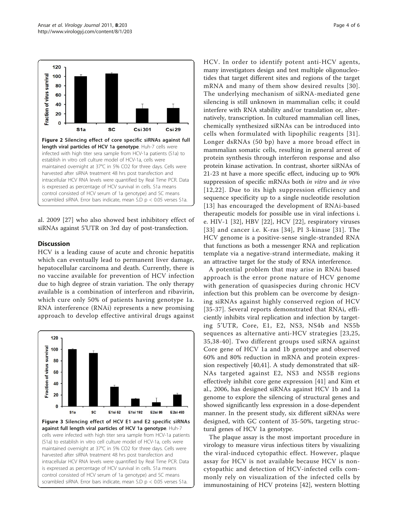<span id="page-3-0"></span>

al. 2009 [[27](#page-5-0)] who also showed best inhibitory effect of siRNAs against 5'UTR on 3rd day of post-transfection.

# **Discussion**

HCV is a leading cause of acute and chronic hepatitis which can eventually lead to permanent liver damage, hepatocellular carcinoma and death. Currently, there is no vaccine available for prevention of HCV infection due to high degree of strain variation. The only therapy available is a combination of interferon and ribavirin, which cure only 50% of patients having genotype 1a. RNA interference (RNAi) represents a new promising approach to develop effective antiviral drugs against



HCV. In order to identify potent anti-HCV agents, many investigators design and test multiple oligonucleotides that target different sites and regions of the target mRNA and many of them show desired results [[30\]](#page-5-0). The underlying mechanism of siRNA-mediated gene silencing is still unknown in mammalian cells; it could interfere with RNA stability and/or translation or, alternatively, transcription. In cultured mammalian cell lines, chemically synthesized siRNAs can be introduced into cells when formulated with lipophilic reagents [[31\]](#page-5-0). Longer dsRNAs (50 bp) have a more broad effect in mammalian somatic cells, resulting in general arrest of protein synthesis through interferon response and also protein kinase activation. In contrast, shorter siRNAs of 21-23 nt have a more specific effect, inducing up to 90% suppression of specific mRNAs both *in vitro* and *in vivo* [[12](#page-4-0),[22](#page-4-0)]. Due to its high suppression efficiency and sequence specificity up to a single nucleotide resolution [[13\]](#page-4-0) has encouraged the development of RNAi-based therapeutic models for possible use in viral infections i. e. HIV-1 [\[32](#page-5-0)], HBV [[22\]](#page-4-0), HCV [[22\]](#page-4-0), respiratory viruses [[33\]](#page-5-0) and cancer i.e. K-ras [[34](#page-5-0)], PI 3-kinase [[31](#page-5-0)]. The HCV genome is a positive-sense single-stranded RNA that functions as both a messenger RNA and replication template via a negative-strand intermediate, making it an attractive target for the study of RNA interference.

A potential problem that may arise in RNAi based approach is the error prone nature of HCV genome with generation of quasispecies during chronic HCV infection but this problem can be overcome by designing siRNAs against highly conserved region of HCV [[35](#page-5-0)-[37](#page-5-0)]. Several reports demonstrated that RNAi, efficiently inhibits viral replication and infection by targeting 5'UTR, Core, E1, E2, NS3, NS4b and NS5b sequences as alternative anti-HCV strategies [[23](#page-4-0),[25](#page-5-0), [35](#page-5-0),[38-40\]](#page-5-0). Two different groups used siRNA against Core gene of HCV 1a and 1b genotype and observed 60% and 80% reduction in mRNA and protein expression respectively [[40](#page-5-0),[41](#page-5-0)]. A study demonstrated that siR-NAs targeted against E2, NS3 and NS5B regions effectively inhibit core gene expression [[41\]](#page-5-0) and Kim et al., 2006, has designed siRNAs against HCV 1b and 1a genome to explore the silencing of structural genes and showed significantly less expression in a dose-dependent manner. In the present study, six different siRNAs were designed, with GC content of 35-50%, targeting structural genes of HCV 1a genotype.

The plaque assay is the most important procedure in virology to measure virus infectious titers by visualizing the viral-induced cytopathic effect. However, plaque assay for HCV is not available because HCV is noncytopathic and detection of HCV-infected cells commonly rely on visualization of the infected cells by immunostaining of HCV proteins [[42](#page-5-0)], western blotting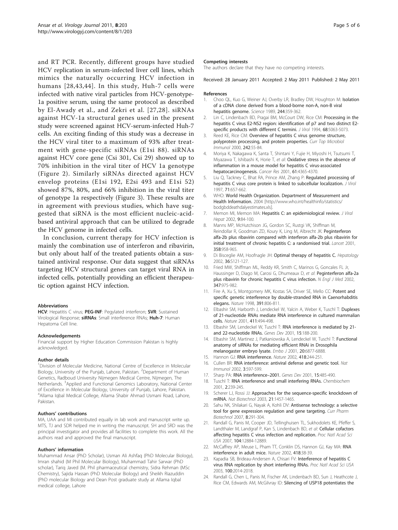<span id="page-4-0"></span>and RT PCR. Recently, different groups have studied HCV replication in serum-infected liver cell lines, which mimics the naturally occurring HCV infection in humans [[28](#page-5-0),[43,44\]](#page-5-0). In this study, Huh-7 cells were infected with native viral particles from HCV-genotype-1a positive serum, using the same protocol as described by El-Awady et al., and Zekri et al. [[27,28\]](#page-5-0). siRNAs against HCV-1a structural genes used in the present study were screened against HCV-serum-infected Huh-7 cells. An exciting finding of this study was a decrease in the HCV viral titer to a maximum of 93% after treatment with gene-specific siRNAs (E1si 88). siRNAs against HCV core gene (Csi 301, Csi 29) showed up to 70% inhibition in the viral titer of HCV 1a genotype (Figure [2\)](#page-3-0). Similarly siRNAs directed against HCV envelop proteins (E1si 192, E2si 493 and E1si 52) showed 87%, 80%, and 66% inhibition in the viral titer of genotype 1a respectively (Figure [3\)](#page-3-0). These results are in agreement with previous studies, which have suggested that siRNA is the most efficient nucleic-acidbased antiviral approach that can be utilized to degrade the HCV genome in infected cells.

In conclusion, current therapy for HCV infection is mainly the combination use of interferon and ribavirin, but only about half of the treated patients obtain a sustained antiviral response. Our data suggest that siRNAs targeting HCV structural genes can target viral RNA in infected cells, potentially providing an efficient therapeutic option against HCV infection.

#### Abbreviations

HCV: Hepatitis C virus; PEG-INF: Pegylated interferon; SVR: Sustained Virological Response; siRNAs: Small interference RNAs; Huh-7: Human Hepatoma Cell line.

#### Acknowledgements

Financial support by Higher Education Commission Pakistan is highly acknowledged.

#### Author details

<sup>1</sup> Division of Molecular Medicine, National Centre of Excellence in Molecular Biology, University of the Punjab, Lahore, Pakistan. <sup>2</sup>Department of Human Genetics, Radboud University Nijmegen Medical Centre, Nijmegen, The Netherlands. <sup>3</sup>Applied and Functional Genomics Laboratory, National Center of Excellence in Molecular Biology, University of Punjab, Lahore, Pakistan. 4 Allama Iqbal Medical College, Allama Shabir Ahmad Usmani Road, Lahore, Pakistan.

#### Authors' contributions

MA, UAA and MI contributed equally in lab work and manuscript write up. MTS, TJ and SDR helped me in writing the manuscript. SH and SRD was the principal investigator and provides all facilities to complete this work. All the authors read and approved the final manuscript.

#### Authors' information

Muhammad Ansar (PhD Scholar), Usman Ali Ashfaq (PhD Molecular Biology), Imran shahid (M Phil Molecular Biology), Muhammad Tahir Sarwar (PhD scholar), Tariq Javed (M. Phil pharmaceutical chemistry, Sidra Rehman (MSc Chemistry), Sajida Hassan (PhD Molecular Biology) and Sheikh Riazuddin (PhD molecular Biology and Dean Post graduate study at Allama Iqbal medical college, Lahore

#### Competing interests

The authors declare that they have no competing interests.

#### Received: 28 January 2011 Accepted: 2 May 2011 Published: 2 May 2011

#### References

- 1. Choo QL, Kuo G, Weiner AJ, Overby LR, Bradley DW, Houghton M: [Isolation](http://www.ncbi.nlm.nih.gov/pubmed/2523562?dopt=Abstract) [of a cDNA clone derived from a blood-borne non-A, non-B viral](http://www.ncbi.nlm.nih.gov/pubmed/2523562?dopt=Abstract) [hepatitis genome.](http://www.ncbi.nlm.nih.gov/pubmed/2523562?dopt=Abstract) Science 1989, 244:359-362.
- 2. Lin C, Lindenbach BD, Pragai BM, McCourt DW, Rice CM: [Processing in the](http://www.ncbi.nlm.nih.gov/pubmed/7518529?dopt=Abstract) [hepatitis C virus E2-NS2 region: identification of p7 and two distinct E2](http://www.ncbi.nlm.nih.gov/pubmed/7518529?dopt=Abstract) [specific products with different C termini.](http://www.ncbi.nlm.nih.gov/pubmed/7518529?dopt=Abstract) J Virol 1994, 68:5063-5073.
- 3. Reed KE, Rice CM: [Overview of hepatitis C virus genome structure,](http://www.ncbi.nlm.nih.gov/pubmed/10592656?dopt=Abstract) [polyprotein processing, and protein properties.](http://www.ncbi.nlm.nih.gov/pubmed/10592656?dopt=Abstract) Curr Top Microbiol Immunol 2000, 242:55-84.
- 4. Moriya K, Nakagawa K, Santa T, Shintani Y, Fujie H, Miyoshi H, Tsutsumi T, Miyazawa T, Ishibashi K, Horie T, et al: **[Oxidative stress in the absence of](http://www.ncbi.nlm.nih.gov/pubmed/11389061?dopt=Abstract)** [inflammation in a mouse model for hepatitis C virus-associated](http://www.ncbi.nlm.nih.gov/pubmed/11389061?dopt=Abstract) [hepatocarcinogenesis.](http://www.ncbi.nlm.nih.gov/pubmed/11389061?dopt=Abstract) Cancer Res 2001, 61:4365-4370.
- 5. Liu Q, Tackney C, Bhat RA, Prince AM, Zhang P: [Regulated processing of](http://www.ncbi.nlm.nih.gov/pubmed/8985397?dopt=Abstract) [hepatitis C virus core protein is linked to subcellular localization.](http://www.ncbi.nlm.nih.gov/pubmed/8985397?dopt=Abstract) J Virol 1997, 71:657-662.
- 6. WHO: World Health Organization. Department of Measurement and Health Information. 2004 [[http://www.who.int/healthinfo/statistics/](http://www.who.int/healthinfo/statistics/bodgbddeathdalyestimates.xls) [bodgbddeathdalyestimates.xls\]](http://www.who.int/healthinfo/statistics/bodgbddeathdalyestimates.xls).
- Memon MI, Memon MA: [Hepatitis C: an epidemiological review.](http://www.ncbi.nlm.nih.gov/pubmed/11876790?dopt=Abstract) J Viral Hepat 2002, 9:84-100.
- 8. Manns MP, McHutchison JG, Gordon SC, Rustgi VK, Shiffman M, Reindollar R, Goodman ZD, Koury K, Ling M, Albrecht JK: [Peginterferon](http://www.ncbi.nlm.nih.gov/pubmed/11583749?dopt=Abstract) [alfa-2b plus ribavirin compared with interferon alfa-2b plus ribavirin for](http://www.ncbi.nlm.nih.gov/pubmed/11583749?dopt=Abstract) [initial treatment of chronic hepatitis C: a randomised trial.](http://www.ncbi.nlm.nih.gov/pubmed/11583749?dopt=Abstract) Lancet 2001, 358:958-965.
- 9. Di Bisceglie AM, Hoofnagle JH: [Optimal therapy of hepatitis C.](http://www.ncbi.nlm.nih.gov/pubmed/12407585?dopt=Abstract) Hepatology 2002, 36:S121-127.
- 10. Fried MW, Shiffman ML, Reddy KR, Smith C, Marinos G, Goncales FL Jr, Haussinger D, Diago M, Carosi G, Dhumeaux D, et al: [Peginterferon alfa-2a](http://www.ncbi.nlm.nih.gov/pubmed/12324553?dopt=Abstract) [plus ribavirin for chronic hepatitis C virus infection.](http://www.ncbi.nlm.nih.gov/pubmed/12324553?dopt=Abstract) N Engl J Med 2002, 347:975-982.
- 11. Fire A, Xu S, Montgomery MK, Kostas SA, Driver SE, Mello CC: [Potent and](http://www.ncbi.nlm.nih.gov/pubmed/9486653?dopt=Abstract) [specific genetic interference by double-stranded RNA in Caenorhabditis](http://www.ncbi.nlm.nih.gov/pubmed/9486653?dopt=Abstract) [elegans.](http://www.ncbi.nlm.nih.gov/pubmed/9486653?dopt=Abstract) Nature 1998, 391:806-811.
- 12. Elbashir SM, Harborth J, Lendeckel W, Yalcin A, Weber K, Tuschl T: [Duplexes](http://www.ncbi.nlm.nih.gov/pubmed/11373684?dopt=Abstract) [of 21-nucleotide RNAs mediate RNA interference in cultured mammalian](http://www.ncbi.nlm.nih.gov/pubmed/11373684?dopt=Abstract) [cells.](http://www.ncbi.nlm.nih.gov/pubmed/11373684?dopt=Abstract) Nature 2001, 411:494-498.
- 13. Elbashir SM, Lendeckel W, Tuschl T: [RNA interference is mediated by 21](http://www.ncbi.nlm.nih.gov/pubmed/11157775?dopt=Abstract) [and 22-nucleotide RNAs.](http://www.ncbi.nlm.nih.gov/pubmed/11157775?dopt=Abstract) Genes Dev 2001, 15:188-200.
- 14. Elbashir SM, Martinez J, Patkaniowska A, Lendeckel W, Tuschl T: [Functional](http://www.ncbi.nlm.nih.gov/pubmed/11726523?dopt=Abstract) [anatomy of siRNAs for mediating efficient RNAi in Drosophila](http://www.ncbi.nlm.nih.gov/pubmed/11726523?dopt=Abstract) [melanogaster embryo lysate.](http://www.ncbi.nlm.nih.gov/pubmed/11726523?dopt=Abstract) Embo J 2001, 20:6877-6888.
- 15. Hannon GJ: [RNA interference.](http://www.ncbi.nlm.nih.gov/pubmed/12110901?dopt=Abstract) Nature 2002, 418:244-251.
- 16. Cullen BR: [RNA interference: antiviral defense and genetic tool.](http://www.ncbi.nlm.nih.gov/pubmed/12087412?dopt=Abstract) Nat Immunol 2002, 3:597-599.
- 17. Sharp PA: [RNA interference](http://www.ncbi.nlm.nih.gov/pubmed/11238371?dopt=Abstract)-2001. Genes Dev 2001, 15:485-490.
- 18. Tuschl T: [RNA interference and small interfering RNAs.](http://www.ncbi.nlm.nih.gov/pubmed/11828450?dopt=Abstract) Chembiochem 2001, 2:239-245.
- 19. Scherer LJ, Rossi JJ: [Approaches for the sequence-specific knockdown of](http://www.ncbi.nlm.nih.gov/pubmed/14647331?dopt=Abstract) [mRNA.](http://www.ncbi.nlm.nih.gov/pubmed/14647331?dopt=Abstract) Nat Biotechnol 2003, 21:1457-1465.
- 20. Sahu NK, Shilakari G, Nayak A, Kohli DV: [Antisense technology: a selective](http://www.ncbi.nlm.nih.gov/pubmed/17979727?dopt=Abstract) [tool for gene expression regulation and gene targeting.](http://www.ncbi.nlm.nih.gov/pubmed/17979727?dopt=Abstract) Curr Pharm Biotechnol 2007, 8:291-304.
- 21. Randall G, Panis M, Cooper JD, Tellinghuisen TL, Sukhodolets KE, Pfeffer S, Landthaler M, Landgraf P, Kan S, Lindenbach BD, et al: [Cellular cofactors](http://www.ncbi.nlm.nih.gov/pubmed/17616579?dopt=Abstract) [affecting hepatitis C virus infection and replication.](http://www.ncbi.nlm.nih.gov/pubmed/17616579?dopt=Abstract) Proc Natl Acad Sci USA 2007, 104:12884-12889
- 22. McCaffrey AP, Meuse L, Pham TT, Conklin DS, Hannon GJ, Kay MA: [RNA](http://www.ncbi.nlm.nih.gov/pubmed/12097900?dopt=Abstract) [interference in adult mice.](http://www.ncbi.nlm.nih.gov/pubmed/12097900?dopt=Abstract) Nature 2002, 418:38-39.
- 23. Kapadia SB, Brideau-Andersen A, Chisari FV: [Interference of hepatitis C](http://www.ncbi.nlm.nih.gov/pubmed/12566571?dopt=Abstract) [virus RNA replication by short interfering RNAs.](http://www.ncbi.nlm.nih.gov/pubmed/12566571?dopt=Abstract) Proc Natl Acad Sci USA 2003, 100:2014-2018.
- 24. Randall G, Chen L, Panis M, Fischer AK, Lindenbach BD, Sun J, Heathcote J, Rice CM, Edwards AM, McGilvray ID: [Silencing of USP18 potentiates the](http://www.ncbi.nlm.nih.gov/pubmed/17101330?dopt=Abstract)